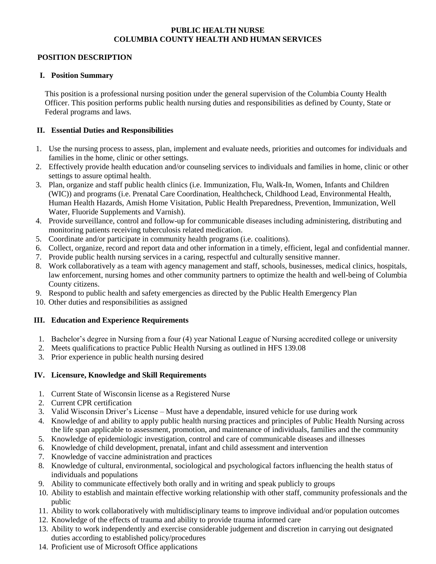#### **PUBLIC HEALTH NURSE COLUMBIA COUNTY HEALTH AND HUMAN SERVICES**

### **POSITION DESCRIPTION**

#### **I. Position Summary**

This position is a professional nursing position under the general supervision of the Columbia County Health Officer. This position performs public health nursing duties and responsibilities as defined by County, State or Federal programs and laws.

#### **II. Essential Duties and Responsibilities**

- 1. Use the nursing process to assess, plan, implement and evaluate needs, priorities and outcomes for individuals and families in the home, clinic or other settings.
- 2. Effectively provide health education and/or counseling services to individuals and families in home, clinic or other settings to assure optimal health.
- 3. Plan, organize and staff public health clinics (i.e. Immunization, Flu, Walk-In, Women, Infants and Children (WIC)) and programs (i.e. Prenatal Care Coordination, Healthcheck, Childhood Lead, Environmental Health, Human Health Hazards, Amish Home Visitation, Public Health Preparedness, Prevention, Immunization, Well Water, Fluoride Supplements and Varnish).
- 4. Provide surveillance, control and follow-up for communicable diseases including administering, distributing and monitoring patients receiving tuberculosis related medication.
- 5. Coordinate and/or participate in community health programs (i.e. coalitions).
- 6. Collect, organize, record and report data and other information in a timely, efficient, legal and confidential manner.
- 7. Provide public health nursing services in a caring, respectful and culturally sensitive manner.
- 8. Work collaboratively as a team with agency management and staff, schools, businesses, medical clinics, hospitals, law enforcement, nursing homes and other community partners to optimize the health and well-being of Columbia County citizens.
- 9. Respond to public health and safety emergencies as directed by the Public Health Emergency Plan
- 10. Other duties and responsibilities as assigned

## **III. Education and Experience Requirements**

- 1. Bachelor's degree in Nursing from a four (4) year National League of Nursing accredited college or university
- 2. Meets qualifications to practice Public Health Nursing as outlined in HFS 139.08
- 3. Prior experience in public health nursing desired

## **IV. Licensure, Knowledge and Skill Requirements**

- 1. Current State of Wisconsin license as a Registered Nurse
- 2. Current CPR certification
- 3. Valid Wisconsin Driver's License Must have a dependable, insured vehicle for use during work
- 4. Knowledge of and ability to apply public health nursing practices and principles of Public Health Nursing across the life span applicable to assessment, promotion, and maintenance of individuals, families and the community
- 5. Knowledge of epidemiologic investigation, control and care of communicable diseases and illnesses
- 6. Knowledge of child development, prenatal, infant and child assessment and intervention
- 7. Knowledge of vaccine administration and practices
- 8. Knowledge of cultural, environmental, sociological and psychological factors influencing the health status of individuals and populations
- 9. Ability to communicate effectively both orally and in writing and speak publicly to groups
- 10. Ability to establish and maintain effective working relationship with other staff, community professionals and the public
- 11. Ability to work collaboratively with multidisciplinary teams to improve individual and/or population outcomes
- 12. Knowledge of the effects of trauma and ability to provide trauma informed care
- 13. Ability to work independently and exercise considerable judgement and discretion in carrying out designated duties according to established policy/procedures
- 14. Proficient use of Microsoft Office applications